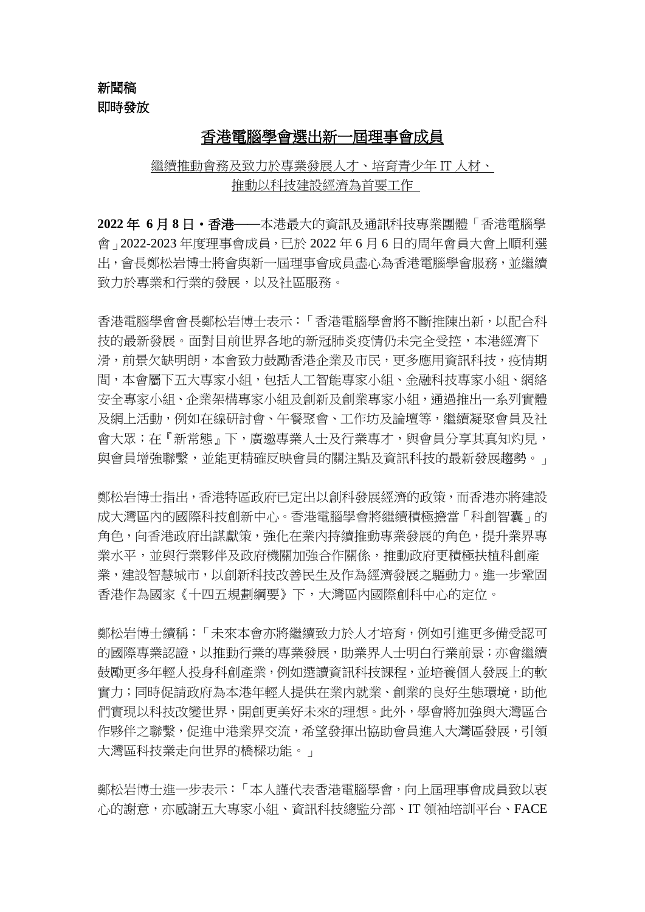## 新聞稿 即時發放

## 香港電腦學會選出新一屆理事會成員

### 繼續推動會務及致力於專業發展人才、培育青少年 IT 人材、 推動以科技建設經濟為首要工作

**2022** 年 **6** 月 **8** 日‧香港──本港最大的資訊及通訊科技專業團體「香港電腦學 會」2022-2023 年度理事會成員,已於 2022 年 6 月 6 日的周年會員大會上順利選 出,會長鄭松岩博士將會與新一屆理事會成員盡心為香港電腦學會服務,並繼續 致力於專業和行業的發展,以及社區服務。

香港電腦學會會長鄭松岩博士表示:「香港電腦學會將不斷推陳出新,以配合科 技的最新發展。面對目前世界各地的新冠肺炎疫情仍未完全受控,本港經濟下 滑,前景欠缺明朗,本會致力鼓勵香港企業及市民,更多應用資訊科技,疫情期 間,本會屬下五大專家小組,包括人工智能專家小組、金融科技專家小組、網絡 安全專家小組、企業架構專家小組及創新及創業專家小組,通過推出一系列實體 及網上活動,例如在線研討會、午餐聚會、工作坊及論壇等,繼續凝聚會員及社 會大眾;在『新常態』下,廣邀專業人士及行業專才,與會員分享其真知灼見, 與會員增強聯繫,並能更精確反映會員的關注點及資訊科技的最新發展趨勢。」

鄭松岩博士指出,香港特區政府已定出以創科發展經濟的政策,而香港亦將建設 成大灣區內的國際科技創新中心。香港電腦學會將繼續積極擔當「科創智囊」的 角色,向香港政府出謀獻策,強化在業內持續推動專業發展的角色,提升業界專 業水平,並與行業夥伴及政府機關加強合作關係,推動政府更積極扶植科創產 業,建設智慧城市,以創新科技改善民生及作為經濟發展之驅動力。進一步鞏固 香港作為國家《十四五規劃綱要》下,大灣區內國際創科中心的定位。

鄭松岩博士續稱:「未來本會亦將繼續致力於人才培育,例如引進更多備受認可 的國際專業認證,以推動行業的專業發展,助業界人士明白行業前景;亦會繼續 鼓勵更多年輕人投身科創產業,例如選讀資訊科技課程,並培養個人發展上的軟 實力;同時促請政府為本港年輕人提供在業內就業、創業的良好生態環境,助他 們實現以科技改變世界,開創更美好未來的理想。此外,學會將加強與大灣區合 作夥伴之聯繫,促進中港業界交流,希望發揮出協助會員進入大灣區發展,引領 大灣區科技業走向世界的橋樑功能。」

鄭松岩博士進一步表示:「本人謹代表香港電腦學會,向上屆理事會成員致以衷 心的謝意,亦感謝五大專家小組、資訊科技總監分部、IT 領袖培訓平台、FACE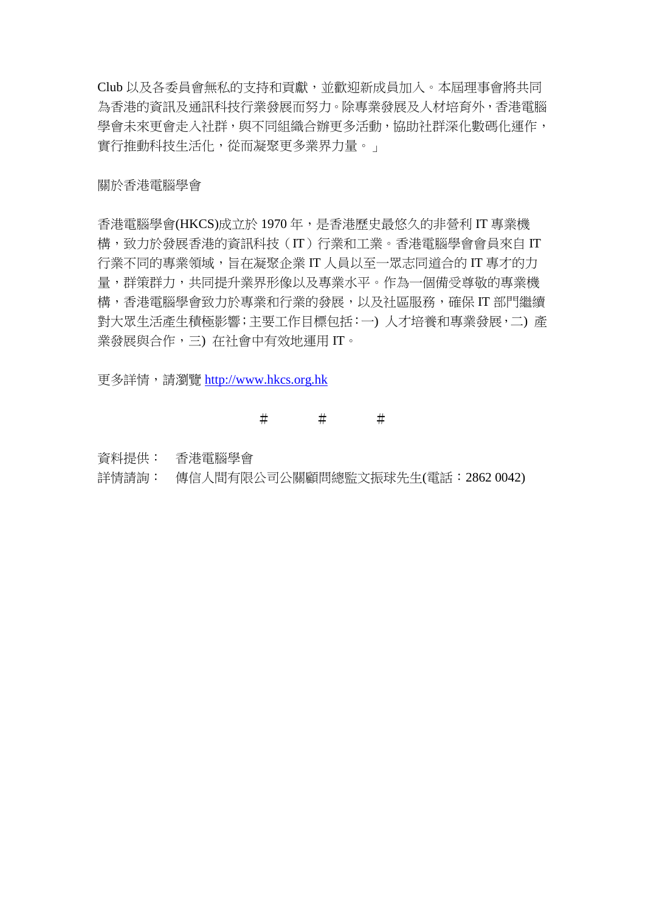Club 以及各委員會無私的支持和貢獻,並歡迎新成員加入。本屆理事會將共同 為香港的資訊及通訊科技行業發展而努力。除專業發展及人材培育外,香港電腦 學會未來更會走入社群,與不同組織合辦更多活動,協助社群深化數碼化運作, 實行推動科技生活化,從而凝聚更多業界力量。」

關於香港電腦學會

香港電腦學會(HKCS)成立於 1970 年,是香港歷史最悠久的非營利 IT 專業機 構,致力於發展香港的資訊科技(IT)行業和工業。香港電腦學會會員來自 IT 行業不同的專業領域,旨在凝聚企業 IT 人員以至一眾志同道合的 IT 專才的力 量,群策群力,共同提升業界形像以及專業水平。作為一個備受尊敬的專業機 構,香港電腦學會致力於專業和行業的發展,以及社區服務,確保 IT 部門繼續 對大眾生活產生積極影響;主要工作目標包括:一) 人才培養和專業發展,二) 產 業發展與合作,三) 在社會中有效地運用 IT。

更多詳情,請瀏覽 [http://www.hkcs.org.hk](http://www.hkcs.org.hk/)

#### $\#$   $\#$   $\#$

資料提供: 香港電腦學會

詳情請詢: 傳信人間有限公司公關顧問總監文振球先生(電話:2862 0042)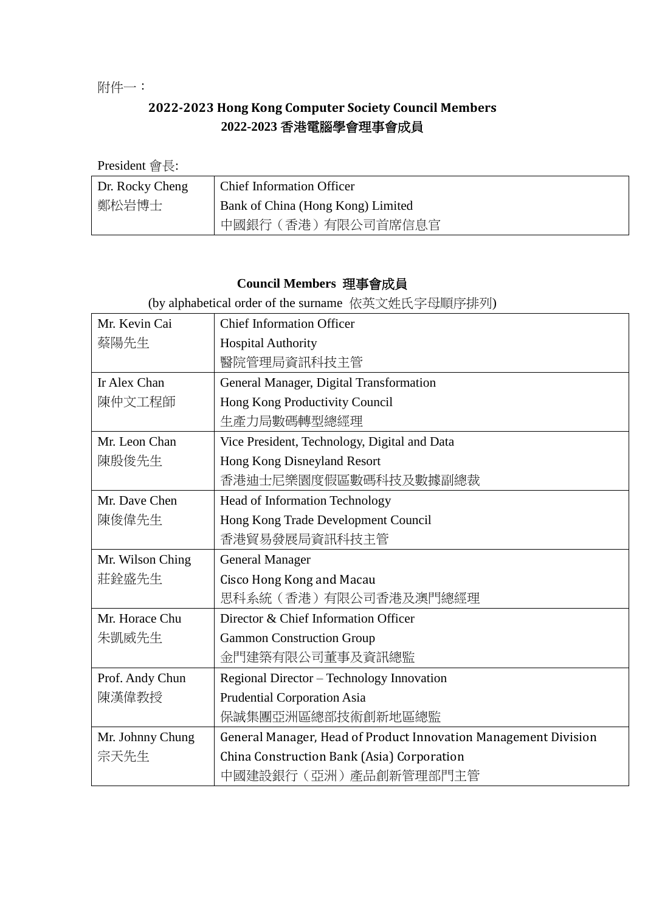附件一:

# **2022-2023 Hong Kong Computer Society Council Members 2022-2023** 香港電腦學會理事會成員

President 會長:

| Dr. Rocky Cheng | <b>Chief Information Officer</b>  |
|-----------------|-----------------------------------|
| 鄭松岩博士           | Bank of China (Hong Kong) Limited |
|                 | . 中國銀行 (香港) 有限公司首席信息官             |

## **Council Members** 理事會成員

(by alphabetical order of the surname 依英文姓氏字母順序排列)

| Mr. Kevin Cai    | <b>Chief Information Officer</b>                                |
|------------------|-----------------------------------------------------------------|
| 蔡陽先生             | <b>Hospital Authority</b>                                       |
|                  | 醫院管理局資訊科技主管                                                     |
| Ir Alex Chan     | General Manager, Digital Transformation                         |
| 陳仲文工程師           | Hong Kong Productivity Council                                  |
|                  | 生產力局數碼轉型總經理                                                     |
| Mr. Leon Chan    | Vice President, Technology, Digital and Data                    |
| 陳殷俊先生            | Hong Kong Disneyland Resort                                     |
|                  | 香港迪士尼樂園度假區數碼科技及數據副總裁                                            |
| Mr. Dave Chen    | Head of Information Technology                                  |
| 陳俊偉先生            | Hong Kong Trade Development Council                             |
|                  | 香港貿易發展局資訊科技主管                                                   |
| Mr. Wilson Ching | <b>General Manager</b>                                          |
| 莊銓盛先生            | Cisco Hong Kong and Macau                                       |
|                  | 思科系統(香港)有限公司香港及澳門總經理                                            |
| Mr. Horace Chu   | Director & Chief Information Officer                            |
| 朱凱威先生            | <b>Gammon Construction Group</b>                                |
|                  | 金門建築有限公司董事及資訊總監                                                 |
| Prof. Andy Chun  | Regional Director - Technology Innovation                       |
| 陳漢偉教授            | Prudential Corporation Asia                                     |
|                  | 保誠集團亞洲區總部技術創新地區總監                                               |
| Mr. Johnny Chung | General Manager, Head of Product Innovation Management Division |
| 宗天先生             | China Construction Bank (Asia) Corporation                      |
|                  | 中國建設銀行(亞洲)產品創新管理部門主管                                            |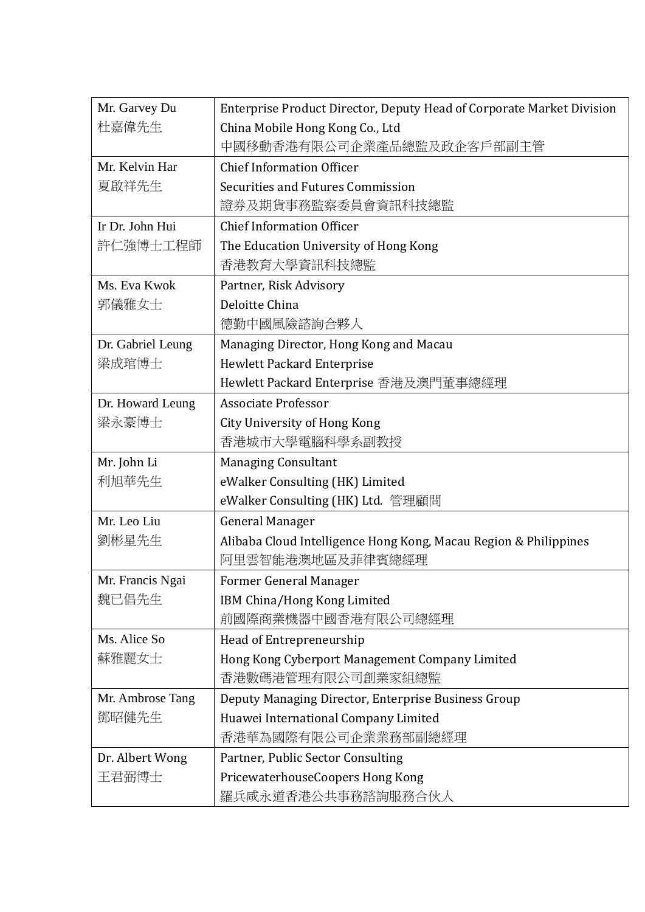| Mr. Garvey Du     | Enterprise Product Director, Deputy Head of Corporate Market Division |
|-------------------|-----------------------------------------------------------------------|
| 杜嘉偉先生             | China Mobile Hong Kong Co., Ltd                                       |
|                   | 中國移動香港有限公司企業產品總監及政企客戶部副主管                                             |
| Mr. Kelvin Har    | <b>Chief Information Officer</b>                                      |
| 夏啟祥先生             | Securities and Futures Commission                                     |
|                   | 證券及期貨事務監察委員會資訊科技總監                                                    |
| Ir Dr. John Hui   | <b>Chief Information Officer</b>                                      |
| 許仁強博士工程師          | The Education University of Hong Kong                                 |
|                   | 香港教育大學資訊科技總監                                                          |
| Ms. Eva Kwok      | Partner, Risk Advisory                                                |
| 郭儀雅女士             | Deloitte China                                                        |
|                   | 德勤中國風險諮詢合夥人                                                           |
| Dr. Gabriel Leung | Managing Director, Hong Kong and Macau                                |
| 梁成琯博士             | <b>Hewlett Packard Enterprise</b>                                     |
|                   | Hewlett Packard Enterprise 香港及澳門董事總經理                                 |
| Dr. Howard Leung  | <b>Associate Professor</b>                                            |
| 梁永豪博士             | City University of Hong Kong                                          |
|                   | 香港城市大學電腦科學系副教授                                                        |
| Mr. John Li       | <b>Managing Consultant</b>                                            |
| 利旭華先生             | eWalker Consulting (HK) Limited                                       |
|                   | eWalker Consulting (HK) Ltd. 管理顧問                                     |
| Mr. Leo Liu       | <b>General Manager</b>                                                |
| 劉彬星先生             | Alibaba Cloud Intelligence Hong Kong, Macau Region & Philippines      |
|                   | 阿里雲智能港澳地區及菲律賓總經理                                                      |
| Mr. Francis Ngai  | <b>Former General Manager</b>                                         |
| 魏已倡先生             | IBM China/Hong Kong Limited                                           |
|                   | 前國際商業機器中國香港有限公司總經理                                                    |
| Ms. Alice So      | Head of Entrepreneurship                                              |
| 蘇雅麗女士             | Hong Kong Cyberport Management Company Limited                        |
|                   | 香港數碼港管理有限公司創業家組總監                                                     |
| Mr. Ambrose Tang  | Deputy Managing Director, Enterprise Business Group                   |
| 鄧昭健先生             | Huawei International Company Limited                                  |
|                   | 香港華為國際有限公司企業業務部副總經理                                                   |
| Dr. Albert Wong   | Partner, Public Sector Consulting                                     |
| 王君弼博士             | PricewaterhouseCoopers Hong Kong                                      |
|                   | 羅兵咸永道香港公共事務諮詢服務合伙人                                                    |